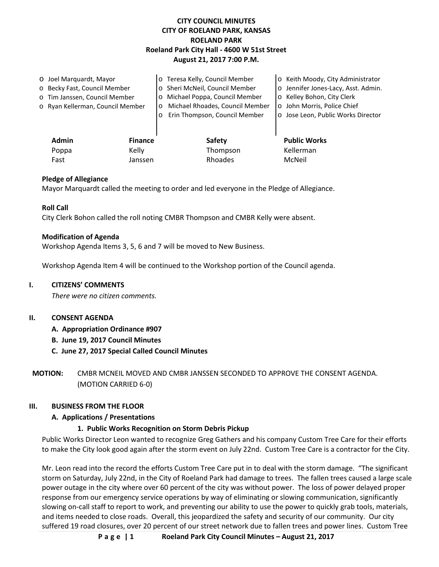# **CITY COUNCIL MINUTES CITY OF ROELAND PARK, KANSAS ROELAND PARK Roeland Park City Hall - 4600 W 51st Street August 21, 2017 7:00 P.M.**

| O Joel Marquardt, Mayor          |                | o Teresa Kelly, Council Member             | o Keith Moody, City Administrator   |
|----------------------------------|----------------|--------------------------------------------|-------------------------------------|
| o Becky Fast, Council Member     |                | o Sheri McNeil, Council Member             | o Jennifer Jones-Lacy, Asst. Admin. |
| o Tim Janssen, Council Member    |                | Michael Poppa, Council Member<br>$\circ$   | o Kelley Bohon, City Clerk          |
| o Ryan Kellerman, Council Member |                | Michael Rhoades, Council Member<br>$\circ$ | o John Morris, Police Chief         |
|                                  |                | Erin Thompson, Council Member<br>$\Omega$  | o Jose Leon, Public Works Director  |
|                                  |                |                                            |                                     |
| <b>Admin</b>                     | <b>Finance</b> | <b>Safety</b>                              | <b>Public Works</b>                 |
| Poppa                            | Kelly          | Thompson                                   | Kellerman                           |
| Fast                             | Janssen        | Rhoades                                    | McNeil                              |

### **Pledge of Allegiance**

Mayor Marquardt called the meeting to order and led everyone in the Pledge of Allegiance.

### **Roll Call**

City Clerk Bohon called the roll noting CMBR Thompson and CMBR Kelly were absent.

#### **Modification of Agenda**

Workshop Agenda Items 3, 5, 6 and 7 will be moved to New Business.

Workshop Agenda Item 4 will be continued to the Workshop portion of the Council agenda.

#### **I. CITIZENS' COMMENTS**

*There were no citizen comments.*

### **II. CONSENT AGENDA**

- **A. Appropriation Ordinance #907**
- **B. June 19, 2017 Council Minutes**
- **C. June 27, 2017 Special Called Council Minutes**

**MOTION:** CMBR MCNEIL MOVED AND CMBR JANSSEN SECONDED TO APPROVE THE CONSENT AGENDA. (MOTION CARRIED 6-0)

#### **III. BUSINESS FROM THE FLOOR**

### **A. Applications / Presentations**

### **1. Public Works Recognition on Storm Debris Pickup**

Public Works Director Leon wanted to recognize Greg Gathers and his company Custom Tree Care for their efforts to make the City look good again after the storm event on July 22nd. Custom Tree Care is a contractor for the City.

Mr. Leon read into the record the efforts Custom Tree Care put in to deal with the storm damage. "The significant storm on Saturday, July 22nd, in the City of Roeland Park had damage to trees. The fallen trees caused a large scale power outage in the city where over 60 percent of the city was without power. The loss of power delayed proper response from our emergency service operations by way of eliminating or slowing communication, significantly slowing on-call staff to report to work, and preventing our ability to use the power to quickly grab tools, materials, and items needed to close roads. Overall, this jeopardized the safety and security of our community. Our city suffered 19 road closures, over 20 percent of our street network due to fallen trees and power lines. Custom Tree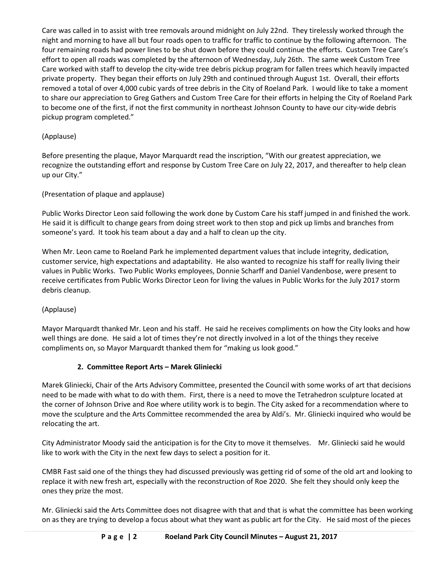Care was called in to assist with tree removals around midnight on July 22nd. They tirelessly worked through the night and morning to have all but four roads open to traffic for traffic to continue by the following afternoon. The four remaining roads had power lines to be shut down before they could continue the efforts. Custom Tree Care's effort to open all roads was completed by the afternoon of Wednesday, July 26th. The same week Custom Tree Care worked with staff to develop the city-wide tree debris pickup program for fallen trees which heavily impacted private property. They began their efforts on July 29th and continued through August 1st. Overall, their efforts removed a total of over 4,000 cubic yards of tree debris in the City of Roeland Park. I would like to take a moment to share our appreciation to Greg Gathers and Custom Tree Care for their efforts in helping the City of Roeland Park to become one of the first, if not the first community in northeast Johnson County to have our city-wide debris pickup program completed."

# (Applause)

Before presenting the plaque, Mayor Marquardt read the inscription, "With our greatest appreciation, we recognize the outstanding effort and response by Custom Tree Care on July 22, 2017, and thereafter to help clean up our City."

(Presentation of plaque and applause)

Public Works Director Leon said following the work done by Custom Care his staff jumped in and finished the work. He said it is difficult to change gears from doing street work to then stop and pick up limbs and branches from someone's yard. It took his team about a day and a half to clean up the city.

When Mr. Leon came to Roeland Park he implemented department values that include integrity, dedication, customer service, high expectations and adaptability. He also wanted to recognize his staff for really living their values in Public Works. Two Public Works employees, Donnie Scharff and Daniel Vandenbose, were present to receive certificates from Public Works Director Leon for living the values in Public Works for the July 2017 storm debris cleanup.

(Applause)

Mayor Marquardt thanked Mr. Leon and his staff. He said he receives compliments on how the City looks and how well things are done. He said a lot of times they're not directly involved in a lot of the things they receive compliments on, so Mayor Marquardt thanked them for "making us look good."

# **2. Committee Report Arts – Marek Gliniecki**

Marek Gliniecki, Chair of the Arts Advisory Committee, presented the Council with some works of art that decisions need to be made with what to do with them. First, there is a need to move the Tetrahedron sculpture located at the corner of Johnson Drive and Roe where utility work is to begin. The City asked for a recommendation where to move the sculpture and the Arts Committee recommended the area by Aldi's. Mr. Gliniecki inquired who would be relocating the art.

City Administrator Moody said the anticipation is for the City to move it themselves. Mr. Gliniecki said he would like to work with the City in the next few days to select a position for it.

CMBR Fast said one of the things they had discussed previously was getting rid of some of the old art and looking to replace it with new fresh art, especially with the reconstruction of Roe 2020. She felt they should only keep the ones they prize the most.

Mr. Gliniecki said the Arts Committee does not disagree with that and that is what the committee has been working on as they are trying to develop a focus about what they want as public art for the City. He said most of the pieces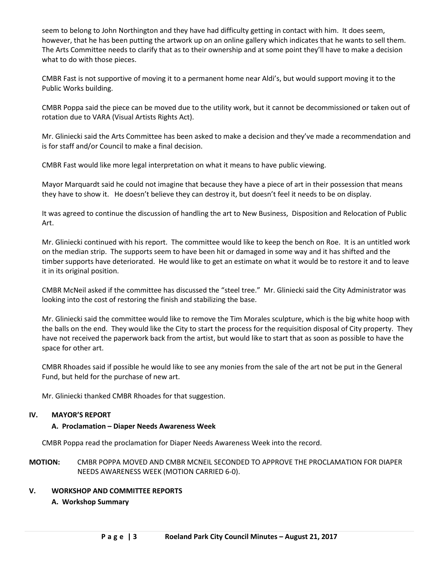seem to belong to John Northington and they have had difficulty getting in contact with him. It does seem, however, that he has been putting the artwork up on an online gallery which indicates that he wants to sell them. The Arts Committee needs to clarify that as to their ownership and at some point they'll have to make a decision what to do with those pieces.

CMBR Fast is not supportive of moving it to a permanent home near Aldi's, but would support moving it to the Public Works building.

CMBR Poppa said the piece can be moved due to the utility work, but it cannot be decommissioned or taken out of rotation due to VARA (Visual Artists Rights Act).

Mr. Gliniecki said the Arts Committee has been asked to make a decision and they've made a recommendation and is for staff and/or Council to make a final decision.

CMBR Fast would like more legal interpretation on what it means to have public viewing.

Mayor Marquardt said he could not imagine that because they have a piece of art in their possession that means they have to show it. He doesn't believe they can destroy it, but doesn't feel it needs to be on display.

It was agreed to continue the discussion of handling the art to New Business, Disposition and Relocation of Public Art.

Mr. Gliniecki continued with his report. The committee would like to keep the bench on Roe. It is an untitled work on the median strip. The supports seem to have been hit or damaged in some way and it has shifted and the timber supports have deteriorated. He would like to get an estimate on what it would be to restore it and to leave it in its original position.

CMBR McNeil asked if the committee has discussed the "steel tree." Mr. Gliniecki said the City Administrator was looking into the cost of restoring the finish and stabilizing the base.

Mr. Gliniecki said the committee would like to remove the Tim Morales sculpture, which is the big white hoop with the balls on the end. They would like the City to start the process for the requisition disposal of City property. They have not received the paperwork back from the artist, but would like to start that as soon as possible to have the space for other art.

CMBR Rhoades said if possible he would like to see any monies from the sale of the art not be put in the General Fund, but held for the purchase of new art.

Mr. Gliniecki thanked CMBR Rhoades for that suggestion.

### **IV. MAYOR'S REPORT**

### **A. Proclamation – Diaper Needs Awareness Week**

CMBR Poppa read the proclamation for Diaper Needs Awareness Week into the record.

**MOTION:** CMBR POPPA MOVED AND CMBR MCNEIL SECONDED TO APPROVE THE PROCLAMATION FOR DIAPER NEEDS AWARENESS WEEK (MOTION CARRIED 6-0).

### **V. WORKSHOP AND COMMITTEE REPORTS**

### **A. Workshop Summary**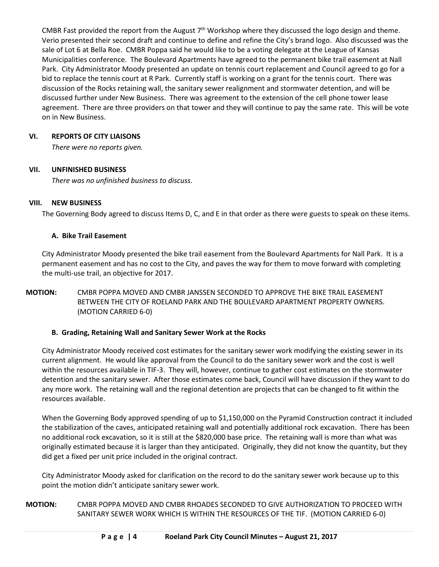CMBR Fast provided the report from the August  $7<sup>th</sup>$  Workshop where they discussed the logo design and theme. Verio presented their second draft and continue to define and refine the City's brand logo. Also discussed was the sale of Lot 6 at Bella Roe. CMBR Poppa said he would like to be a voting delegate at the League of Kansas Municipalities conference. The Boulevard Apartments have agreed to the permanent bike trail easement at Nall Park. City Administrator Moody presented an update on tennis court replacement and Council agreed to go for a bid to replace the tennis court at R Park. Currently staff is working on a grant for the tennis court. There was discussion of the Rocks retaining wall, the sanitary sewer realignment and stormwater detention, and will be discussed further under New Business. There was agreement to the extension of the cell phone tower lease agreement. There are three providers on that tower and they will continue to pay the same rate. This will be vote on in New Business.

### **VI. REPORTS OF CITY LIAISONS**

*There were no reports given.* 

### **VII. UNFINISHED BUSINESS**

*There was no unfinished business to discuss.* 

### **VIII. NEW BUSINESS**

The Governing Body agreed to discuss Items D, C, and E in that order as there were guests to speak on these items.

### **A. Bike Trail Easement**

City Administrator Moody presented the bike trail easement from the Boulevard Apartments for Nall Park. It is a permanent easement and has no cost to the City, and paves the way for them to move forward with completing the multi-use trail, an objective for 2017.

### **MOTION:** CMBR POPPA MOVED AND CMBR JANSSEN SECONDED TO APPROVE THE BIKE TRAIL EASEMENT BETWEEN THE CITY OF ROELAND PARK AND THE BOULEVARD APARTMENT PROPERTY OWNERS. (MOTION CARRIED 6-0)

### **B. Grading, Retaining Wall and Sanitary Sewer Work at the Rocks**

City Administrator Moody received cost estimates for the sanitary sewer work modifying the existing sewer in its current alignment. He would like approval from the Council to do the sanitary sewer work and the cost is well within the resources available in TIF-3. They will, however, continue to gather cost estimates on the stormwater detention and the sanitary sewer. After those estimates come back, Council will have discussion if they want to do any more work. The retaining wall and the regional detention are projects that can be changed to fit within the resources available.

When the Governing Body approved spending of up to \$1,150,000 on the Pyramid Construction contract it included the stabilization of the caves, anticipated retaining wall and potentially additional rock excavation. There has been no additional rock excavation, so it is still at the \$820,000 base price. The retaining wall is more than what was originally estimated because it is larger than they anticipated. Originally, they did not know the quantity, but they did get a fixed per unit price included in the original contract.

City Administrator Moody asked for clarification on the record to do the sanitary sewer work because up to this point the motion didn't anticipate sanitary sewer work.

**MOTION:** CMBR POPPA MOVED AND CMBR RHOADES SECONDED TO GIVE AUTHORIZATION TO PROCEED WITH SANITARY SEWER WORK WHICH IS WITHIN THE RESOURCES OF THE TIF. (MOTION CARRIED 6-0)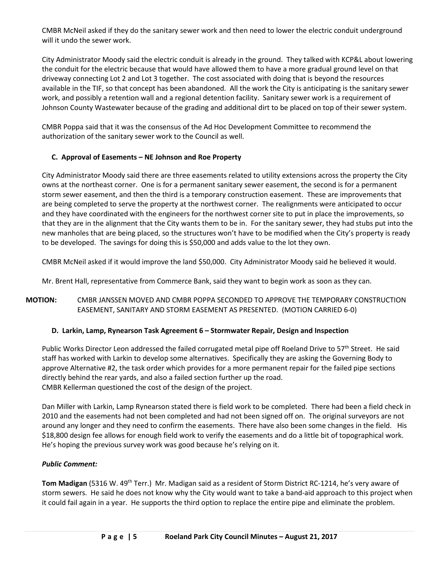CMBR McNeil asked if they do the sanitary sewer work and then need to lower the electric conduit underground will it undo the sewer work.

City Administrator Moody said the electric conduit is already in the ground. They talked with KCP&L about lowering the conduit for the electric because that would have allowed them to have a more gradual ground level on that driveway connecting Lot 2 and Lot 3 together. The cost associated with doing that is beyond the resources available in the TIF, so that concept has been abandoned. All the work the City is anticipating is the sanitary sewer work, and possibly a retention wall and a regional detention facility. Sanitary sewer work is a requirement of Johnson County Wastewater because of the grading and additional dirt to be placed on top of their sewer system.

CMBR Poppa said that it was the consensus of the Ad Hoc Development Committee to recommend the authorization of the sanitary sewer work to the Council as well.

### **C. Approval of Easements – NE Johnson and Roe Property**

City Administrator Moody said there are three easements related to utility extensions across the property the City owns at the northeast corner. One is for a permanent sanitary sewer easement, the second is for a permanent storm sewer easement, and then the third is a temporary construction easement. These are improvements that are being completed to serve the property at the northwest corner. The realignments were anticipated to occur and they have coordinated with the engineers for the northwest corner site to put in place the improvements, so that they are in the alignment that the City wants them to be in. For the sanitary sewer, they had stubs put into the new manholes that are being placed, so the structures won't have to be modified when the City's property is ready to be developed. The savings for doing this is \$50,000 and adds value to the lot they own.

CMBR McNeil asked if it would improve the land \$50,000. City Administrator Moody said he believed it would.

Mr. Brent Hall, representative from Commerce Bank, said they want to begin work as soon as they can.

# **MOTION:** CMBR JANSSEN MOVED AND CMBR POPPA SECONDED TO APPROVE THE TEMPORARY CONSTRUCTION EASEMENT, SANITARY AND STORM EASEMENT AS PRESENTED. (MOTION CARRIED 6-0)

# **D. Larkin, Lamp, Rynearson Task Agreement 6 – Stormwater Repair, Design and Inspection**

Public Works Director Leon addressed the failed corrugated metal pipe off Roeland Drive to 57<sup>th</sup> Street. He said staff has worked with Larkin to develop some alternatives. Specifically they are asking the Governing Body to approve Alternative #2, the task order which provides for a more permanent repair for the failed pipe sections directly behind the rear yards, and also a failed section further up the road. CMBR Kellerman questioned the cost of the design of the project.

Dan Miller with Larkin, Lamp Rynearson stated there is field work to be completed. There had been a field check in 2010 and the easements had not been completed and had not been signed off on. The original surveyors are not around any longer and they need to confirm the easements. There have also been some changes in the field. His \$18,800 design fee allows for enough field work to verify the easements and do a little bit of topographical work. He's hoping the previous survey work was good because he's relying on it.

### *Public Comment:*

**Tom Madigan** (5316 W. 49th Terr.) Mr. Madigan said as a resident of Storm District RC-1214, he's very aware of storm sewers. He said he does not know why the City would want to take a band-aid approach to this project when it could fail again in a year. He supports the third option to replace the entire pipe and eliminate the problem.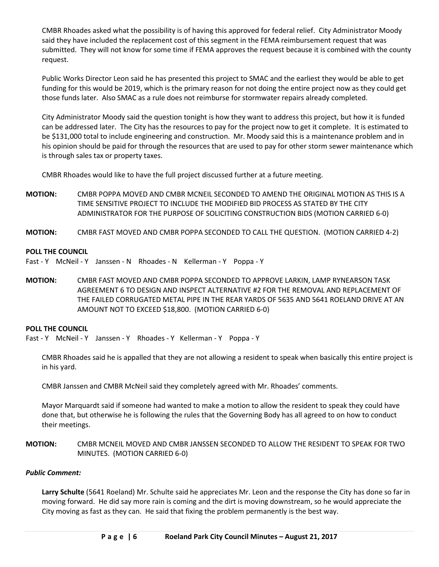CMBR Rhoades asked what the possibility is of having this approved for federal relief. City Administrator Moody said they have included the replacement cost of this segment in the FEMA reimbursement request that was submitted. They will not know for some time if FEMA approves the request because it is combined with the county request.

Public Works Director Leon said he has presented this project to SMAC and the earliest they would be able to get funding for this would be 2019, which is the primary reason for not doing the entire project now as they could get those funds later. Also SMAC as a rule does not reimburse for stormwater repairs already completed.

City Administrator Moody said the question tonight is how they want to address this project, but how it is funded can be addressed later. The City has the resources to pay for the project now to get it complete. It is estimated to be \$131,000 total to include engineering and construction. Mr. Moody said this is a maintenance problem and in his opinion should be paid for through the resources that are used to pay for other storm sewer maintenance which is through sales tax or property taxes.

CMBR Rhoades would like to have the full project discussed further at a future meeting.

- **MOTION:** CMBR POPPA MOVED AND CMBR MCNEIL SECONDED TO AMEND THE ORIGINAL MOTION AS THIS IS A TIME SENSITIVE PROJECT TO INCLUDE THE MODIFIED BID PROCESS AS STATED BY THE CITY ADMINISTRATOR FOR THE PURPOSE OF SOLICITING CONSTRUCTION BIDS (MOTION CARRIED 6-0)
- **MOTION:** CMBR FAST MOVED AND CMBR POPPA SECONDED TO CALL THE QUESTION. (MOTION CARRIED 4-2)

### **POLL THE COUNCIL**

Fast - Y McNeil - Y Janssen - N Rhoades - N Kellerman - Y Poppa - Y

**MOTION:** CMBR FAST MOVED AND CMBR POPPA SECONDED TO APPROVE LARKIN, LAMP RYNEARSON TASK AGREEMENT 6 TO DESIGN AND INSPECT ALTERNATIVE #2 FOR THE REMOVAL AND REPLACEMENT OF THE FAILED CORRUGATED METAL PIPE IN THE REAR YARDS OF 5635 AND 5641 ROELAND DRIVE AT AN AMOUNT NOT TO EXCEED \$18,800. (MOTION CARRIED 6-0)

### **POLL THE COUNCIL**

Fast - Y McNeil - Y Janssen - Y Rhoades - Y Kellerman - Y Poppa - Y

CMBR Rhoades said he is appalled that they are not allowing a resident to speak when basically this entire project is in his yard.

CMBR Janssen and CMBR McNeil said they completely agreed with Mr. Rhoades' comments.

Mayor Marquardt said if someone had wanted to make a motion to allow the resident to speak they could have done that, but otherwise he is following the rules that the Governing Body has all agreed to on how to conduct their meetings.

### **MOTION:** CMBR MCNEIL MOVED AND CMBR JANSSEN SECONDED TO ALLOW THE RESIDENT TO SPEAK FOR TWO MINUTES. (MOTION CARRIED 6-0)

### *Public Comment:*

**Larry Schulte** (5641 Roeland) Mr. Schulte said he appreciates Mr. Leon and the response the City has done so far in moving forward. He did say more rain is coming and the dirt is moving downstream, so he would appreciate the City moving as fast as they can. He said that fixing the problem permanently is the best way.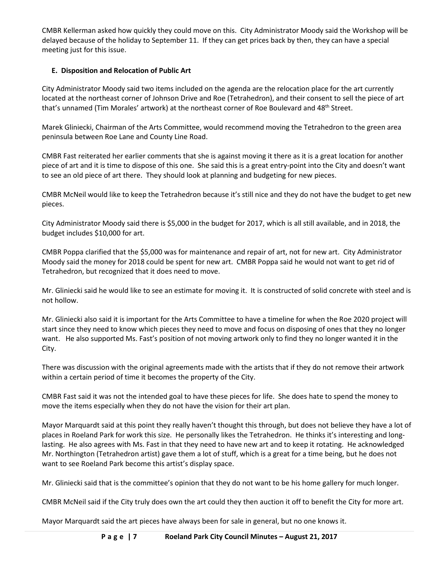CMBR Kellerman asked how quickly they could move on this. City Administrator Moody said the Workshop will be delayed because of the holiday to September 11. If they can get prices back by then, they can have a special meeting just for this issue.

# **E. Disposition and Relocation of Public Art**

City Administrator Moody said two items included on the agenda are the relocation place for the art currently located at the northeast corner of Johnson Drive and Roe (Tetrahedron), and their consent to sell the piece of art that's unnamed (Tim Morales' artwork) at the northeast corner of Roe Boulevard and 48<sup>th</sup> Street.

Marek Gliniecki, Chairman of the Arts Committee, would recommend moving the Tetrahedron to the green area peninsula between Roe Lane and County Line Road.

CMBR Fast reiterated her earlier comments that she is against moving it there as it is a great location for another piece of art and it is time to dispose of this one. She said this is a great entry-point into the City and doesn't want to see an old piece of art there. They should look at planning and budgeting for new pieces.

CMBR McNeil would like to keep the Tetrahedron because it's still nice and they do not have the budget to get new pieces.

City Administrator Moody said there is \$5,000 in the budget for 2017, which is all still available, and in 2018, the budget includes \$10,000 for art.

CMBR Poppa clarified that the \$5,000 was for maintenance and repair of art, not for new art. City Administrator Moody said the money for 2018 could be spent for new art. CMBR Poppa said he would not want to get rid of Tetrahedron, but recognized that it does need to move.

Mr. Gliniecki said he would like to see an estimate for moving it. It is constructed of solid concrete with steel and is not hollow.

Mr. Gliniecki also said it is important for the Arts Committee to have a timeline for when the Roe 2020 project will start since they need to know which pieces they need to move and focus on disposing of ones that they no longer want. He also supported Ms. Fast's position of not moving artwork only to find they no longer wanted it in the City.

There was discussion with the original agreements made with the artists that if they do not remove their artwork within a certain period of time it becomes the property of the City.

CMBR Fast said it was not the intended goal to have these pieces for life. She does hate to spend the money to move the items especially when they do not have the vision for their art plan.

Mayor Marquardt said at this point they really haven't thought this through, but does not believe they have a lot of places in Roeland Park for work this size. He personally likes the Tetrahedron. He thinks it's interesting and longlasting. He also agrees with Ms. Fast in that they need to have new art and to keep it rotating. He acknowledged Mr. Northington (Tetrahedron artist) gave them a lot of stuff, which is a great for a time being, but he does not want to see Roeland Park become this artist's display space.

Mr. Gliniecki said that is the committee's opinion that they do not want to be his home gallery for much longer.

CMBR McNeil said if the City truly does own the art could they then auction it off to benefit the City for more art.

Mayor Marquardt said the art pieces have always been for sale in general, but no one knows it.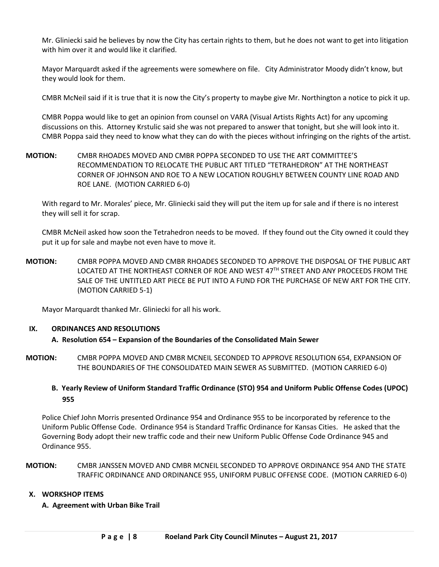Mr. Gliniecki said he believes by now the City has certain rights to them, but he does not want to get into litigation with him over it and would like it clarified.

Mayor Marquardt asked if the agreements were somewhere on file. City Administrator Moody didn't know, but they would look for them.

CMBR McNeil said if it is true that it is now the City's property to maybe give Mr. Northington a notice to pick it up.

CMBR Poppa would like to get an opinion from counsel on VARA (Visual Artists Rights Act) for any upcoming discussions on this. Attorney Krstulic said she was not prepared to answer that tonight, but she will look into it. CMBR Poppa said they need to know what they can do with the pieces without infringing on the rights of the artist.

**MOTION:** CMBR RHOADES MOVED AND CMBR POPPA SECONDED TO USE THE ART COMMITTEE'S RECOMMENDATION TO RELOCATE THE PUBLIC ART TITLED "TETRAHEDRON" AT THE NORTHEAST CORNER OF JOHNSON AND ROE TO A NEW LOCATION ROUGHLY BETWEEN COUNTY LINE ROAD AND ROE LANE. (MOTION CARRIED 6-0)

With regard to Mr. Morales' piece, Mr. Gliniecki said they will put the item up for sale and if there is no interest they will sell it for scrap.

CMBR McNeil asked how soon the Tetrahedron needs to be moved. If they found out the City owned it could they put it up for sale and maybe not even have to move it.

**MOTION:** CMBR POPPA MOVED AND CMBR RHOADES SECONDED TO APPROVE THE DISPOSAL OF THE PUBLIC ART LOCATED AT THE NORTHEAST CORNER OF ROE AND WEST 47<sup>TH</sup> STREET AND ANY PROCEEDS FROM THE SALE OF THE UNTITLED ART PIECE BE PUT INTO A FUND FOR THE PURCHASE OF NEW ART FOR THE CITY. (MOTION CARRIED 5-1)

Mayor Marquardt thanked Mr. Gliniecki for all his work.

### **IX. ORDINANCES AND RESOLUTIONS**

### **A. Resolution 654 – Expansion of the Boundaries of the Consolidated Main Sewer**

**MOTION:** CMBR POPPA MOVED AND CMBR MCNEIL SECONDED TO APPROVE RESOLUTION 654, EXPANSION OF THE BOUNDARIES OF THE CONSOLIDATED MAIN SEWER AS SUBMITTED. (MOTION CARRIED 6-0)

### **B. Yearly Review of Uniform Standard Traffic Ordinance (STO) 954 and Uniform Public Offense Codes (UPOC) 955**

Police Chief John Morris presented Ordinance 954 and Ordinance 955 to be incorporated by reference to the Uniform Public Offense Code. Ordinance 954 is Standard Traffic Ordinance for Kansas Cities. He asked that the Governing Body adopt their new traffic code and their new Uniform Public Offense Code Ordinance 945 and Ordinance 955.

### **MOTION:** CMBR JANSSEN MOVED AND CMBR MCNEIL SECONDED TO APPROVE ORDINANCE 954 AND THE STATE TRAFFIC ORDINANCE AND ORDINANCE 955, UNIFORM PUBLIC OFFENSE CODE. (MOTION CARRIED 6-0)

### **X. WORKSHOP ITEMS**

### **A. Agreement with Urban Bike Trail**